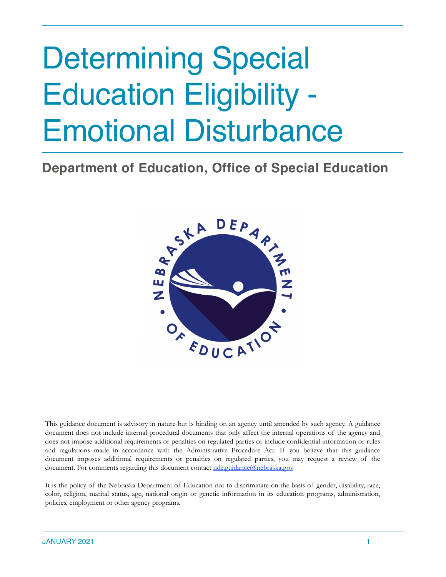# Determining Special Education Eligibility - Emotional Disturbance

# **Department of Education, Office of Special Education**



This guidance document is advisory in nature but is binding on an agency until amended by such agency. A guidance document does not include internal procedural documents that only affect the internal operations of the agency and does not impose additional requirements or penalties on regulated parties or include confidential information or rules and regulations made in accordance with the Administrative Procedure Act. If you believe that this guidance document imposes additional requirements or penalties on regulated parties, you may request a review of the document. For comments regarding this document contact [nde.guidance@nebraska.gov](mailto:nde.guidance@nebraska.gov)

It is the policy of the Nebraska Department of Education not to discriminate on the basis of gender, disability, race, color, religion, marital status, age, national origin or genetic information in its education programs, administration, policies, employment or other agency programs.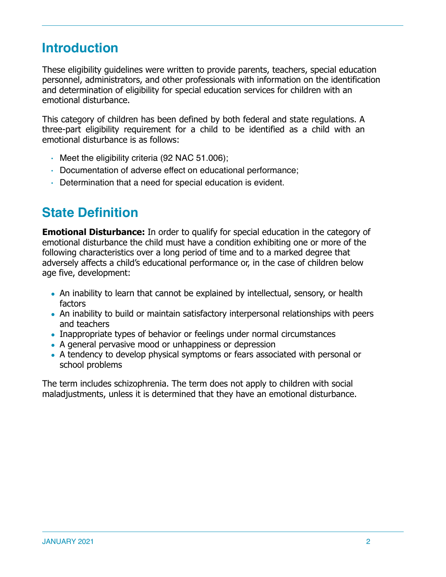## **Introduction**

These eligibility guidelines were written to provide parents, teachers, special education personnel, administrators, and other professionals with information on the identification and determination of eligibility for special education services for children with an emotional disturbance.

This category of children has been defined by both federal and state regulations. A three-part eligibility requirement for a child to be identified as a child with an emotional disturbance is as follows:

- Meet the eligibility criteria (92 NAC 51.006);
- Documentation of adverse effect on educational performance;
- Determination that a need for special education is evident.

### **State Definition**

**Emotional Disturbance:** In order to qualify for special education in the category of emotional disturbance the child must have a condition exhibiting one or more of the following characteristics over a long period of time and to a marked degree that adversely affects a child's educational performance or, in the case of children below age five, development:

- An inability to learn that cannot be explained by intellectual, sensory, or health factors
- An inability to build or maintain satisfactory interpersonal relationships with peers and teachers
- Inappropriate types of behavior or feelings under normal circumstances
- A general pervasive mood or unhappiness or depression
- A tendency to develop physical symptoms or fears associated with personal or school problems

The term includes schizophrenia. The term does not apply to children with social maladjustments, unless it is determined that they have an emotional disturbance.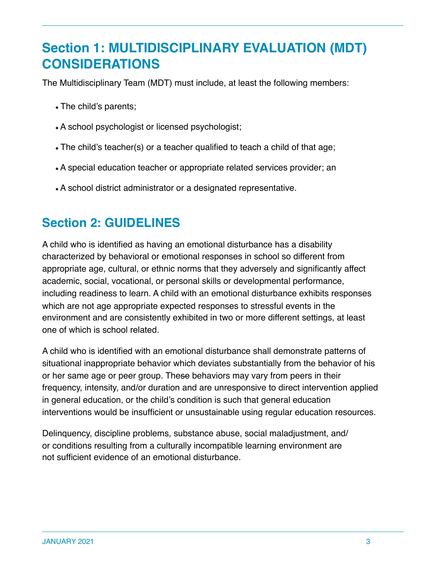## **Section 1: MULTIDISCIPLINARY EVALUATION (MDT) CONSIDERATIONS**

The Multidisciplinary Team (MDT) must include, at least the following members:

- The child's parents;
- A school psychologist or licensed psychologist;
- The child's teacher(s) or a teacher qualified to teach a child of that age;
- A special education teacher or appropriate related services provider; an
- A school district administrator or a designated representative.

## **Section 2: GUIDELINES**

A child who is identified as having an emotional disturbance has a disability characterized by behavioral or emotional responses in school so different from appropriate age, cultural, or ethnic norms that they adversely and significantly affect academic, social, vocational, or personal skills or developmental performance, including readiness to learn. A child with an emotional disturbance exhibits responses which are not age appropriate expected responses to stressful events in the environment and are consistently exhibited in two or more different settings, at least one of which is school related.

A child who is identified with an emotional disturbance shall demonstrate patterns of situational inappropriate behavior which deviates substantially from the behavior of his or her same age or peer group. These behaviors may vary from peers in their frequency, intensity, and/or duration and are unresponsive to direct intervention applied in general education, or the child's condition is such that general education interventions would be insufficient or unsustainable using regular education resources.

Delinquency, discipline problems, substance abuse, social maladjustment, and/ or conditions resulting from a culturally incompatible learning environment are not sufficient evidence of an emotional disturbance.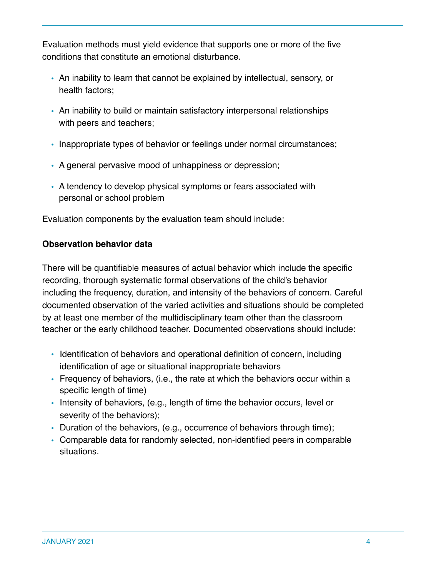Evaluation methods must yield evidence that supports one or more of the five conditions that constitute an emotional disturbance.

- An inability to learn that cannot be explained by intellectual, sensory, or health factors;
- An inability to build or maintain satisfactory interpersonal relationships with peers and teachers;
- Inappropriate types of behavior or feelings under normal circumstances;
- A general pervasive mood of unhappiness or depression;
- A tendency to develop physical symptoms or fears associated with personal or school problem

Evaluation components by the evaluation team should include:

#### **Observation behavior data**

There will be quantifiable measures of actual behavior which include the specific recording, thorough systematic formal observations of the child's behavior including the frequency, duration, and intensity of the behaviors of concern. Careful documented observation of the varied activities and situations should be completed by at least one member of the multidisciplinary team other than the classroom teacher or the early childhood teacher. Documented observations should include:

- Identification of behaviors and operational definition of concern, including identification of age or situational inappropriate behaviors
- Frequency of behaviors, (i.e., the rate at which the behaviors occur within a specific length of time)
- Intensity of behaviors, (e.g., length of time the behavior occurs, level or severity of the behaviors);
- Duration of the behaviors, (e.g., occurrence of behaviors through time);
- Comparable data for randomly selected, non-identified peers in comparable situations.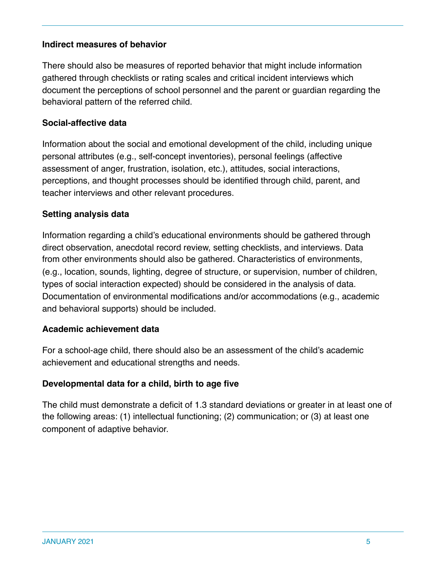#### **Indirect measures of behavior**

There should also be measures of reported behavior that might include information gathered through checklists or rating scales and critical incident interviews which document the perceptions of school personnel and the parent or guardian regarding the behavioral pattern of the referred child.

#### **Social-affective data**

Information about the social and emotional development of the child, including unique personal attributes (e.g., self-concept inventories), personal feelings (affective assessment of anger, frustration, isolation, etc.), attitudes, social interactions, perceptions, and thought processes should be identified through child, parent, and teacher interviews and other relevant procedures.

#### **Setting analysis data**

Information regarding a child's educational environments should be gathered through direct observation, anecdotal record review, setting checklists, and interviews. Data from other environments should also be gathered. Characteristics of environments, (e.g., location, sounds, lighting, degree of structure, or supervision, number of children, types of social interaction expected) should be considered in the analysis of data. Documentation of environmental modifications and/or accommodations (e.g., academic and behavioral supports) should be included.

#### **Academic achievement data**

For a school-age child, there should also be an assessment of the child's academic achievement and educational strengths and needs.

#### **Developmental data for a child, birth to age five**

The child must demonstrate a deficit of 1.3 standard deviations or greater in at least one of the following areas: (1) intellectual functioning; (2) communication; or (3) at least one component of adaptive behavior.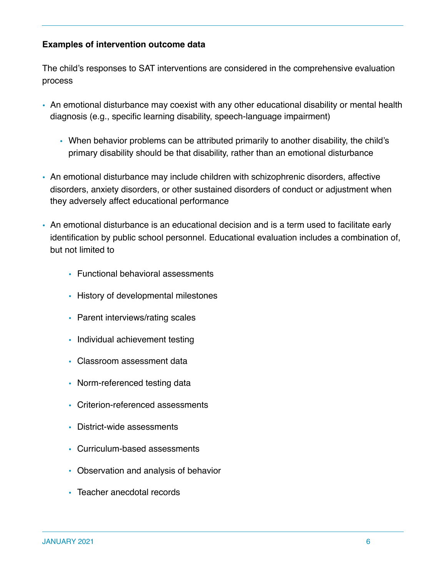#### **Examples of intervention outcome data**

The child's responses to SAT interventions are considered in the comprehensive evaluation process

- An emotional disturbance may coexist with any other educational disability or mental health diagnosis (e.g., specific learning disability, speech-language impairment)
	- When behavior problems can be attributed primarily to another disability, the child's primary disability should be that disability, rather than an emotional disturbance
- An emotional disturbance may include children with schizophrenic disorders, affective disorders, anxiety disorders, or other sustained disorders of conduct or adjustment when they adversely affect educational performance
- An emotional disturbance is an educational decision and is a term used to facilitate early identification by public school personnel. Educational evaluation includes a combination of, but not limited to
	- Functional behavioral assessments
	- History of developmental milestones
	- Parent interviews/rating scales
	- Individual achievement testing
	- Classroom assessment data
	- Norm-referenced testing data
	- Criterion-referenced assessments
	- District-wide assessments
	- Curriculum-based assessments
	- Observation and analysis of behavior
	- Teacher anecdotal records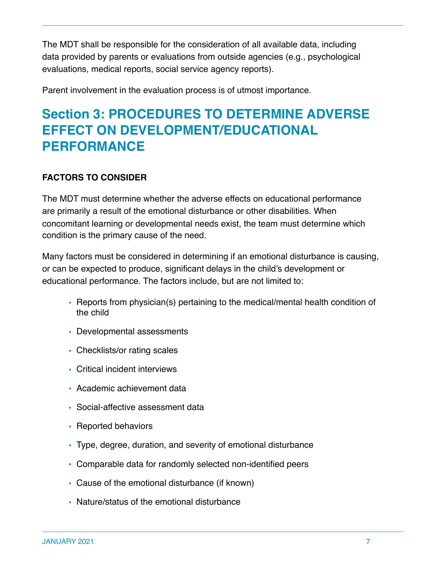The MDT shall be responsible for the consideration of all available data, including data provided by parents or evaluations from outside agencies (e.g., psychological evaluations, medical reports, social service agency reports).

Parent involvement in the evaluation process is of utmost importance.

## **Section 3: PROCEDURES TO DETERMINE ADVERSE EFFECT ON DEVELOPMENT/EDUCATIONAL PERFORMANCE**

#### **FACTORS TO CONSIDER**

The MDT must determine whether the adverse effects on educational performance are primarily a result of the emotional disturbance or other disabilities. When concomitant learning or developmental needs exist, the team must determine which condition is the primary cause of the need.

Many factors must be considered in determining if an emotional disturbance is causing, or can be expected to produce, significant delays in the child's development or educational performance. The factors include, but are not limited to:

- Reports from physician(s) pertaining to the medical/mental health condition of the child
- Developmental assessments
- Checklists/or rating scales
- Critical incident interviews
- Academic achievement data
- Social-affective assessment data
- Reported behaviors
- Type, degree, duration, and severity of emotional disturbance
- Comparable data for randomly selected non-identified peers
- Cause of the emotional disturbance (if known)
- Nature/status of the emotional disturbance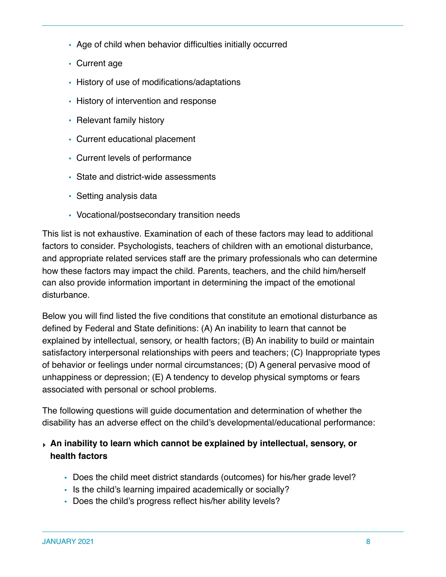- Age of child when behavior difficulties initially occurred
- Current age
- History of use of modifications/adaptations
- History of intervention and response
- Relevant family history
- Current educational placement
- Current levels of performance
- State and district-wide assessments
- Setting analysis data
- Vocational/postsecondary transition needs

This list is not exhaustive. Examination of each of these factors may lead to additional factors to consider. Psychologists, teachers of children with an emotional disturbance, and appropriate related services staff are the primary professionals who can determine how these factors may impact the child. Parents, teachers, and the child him/herself can also provide information important in determining the impact of the emotional disturbance.

Below you will find listed the five conditions that constitute an emotional disturbance as defined by Federal and State definitions: (A) An inability to learn that cannot be explained by intellectual, sensory, or health factors; (B) An inability to build or maintain satisfactory interpersonal relationships with peers and teachers; (C) Inappropriate types of behavior or feelings under normal circumstances; (D) A general pervasive mood of unhappiness or depression; (E) A tendency to develop physical symptoms or fears associated with personal or school problems.

The following questions will guide documentation and determination of whether the disability has an adverse effect on the child's developmental/educational performance:

#### ‣ **An inability to learn which cannot be explained by intellectual, sensory, or health factors**

- Does the child meet district standards (outcomes) for his/her grade level?
- Is the child's learning impaired academically or socially?
- Does the child's progress reflect his/her ability levels?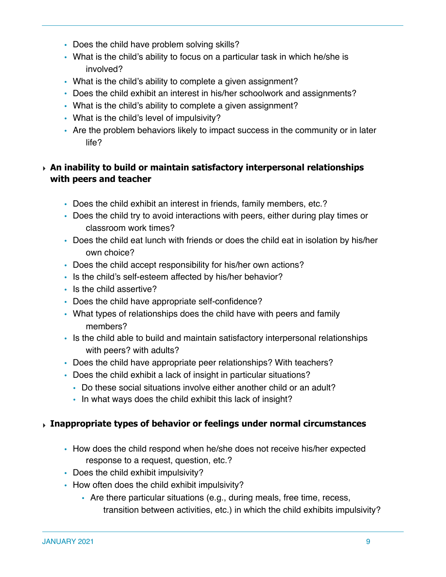- Does the child have problem solving skills?
- What is the child's ability to focus on a particular task in which he/she is involved?
- What is the child's ability to complete a given assignment?
- Does the child exhibit an interest in his/her schoolwork and assignments?
- What is the child's ability to complete a given assignment?
- What is the child's level of impulsivity?
- Are the problem behaviors likely to impact success in the community or in later life?

#### ‣ **An inability to build or maintain satisfactory interpersonal relationships with peers and teacher**

- Does the child exhibit an interest in friends, family members, etc.?
- Does the child try to avoid interactions with peers, either during play times or classroom work times?
- Does the child eat lunch with friends or does the child eat in isolation by his/her own choice?
- Does the child accept responsibility for his/her own actions?
- Is the child's self-esteem affected by his/her behavior?
- Is the child assertive?
- Does the child have appropriate self-confidence?
- What types of relationships does the child have with peers and family members?
- Is the child able to build and maintain satisfactory interpersonal relationships with peers? with adults?
- Does the child have appropriate peer relationships? With teachers?
- Does the child exhibit a lack of insight in particular situations?
	- Do these social situations involve either another child or an adult?
	- In what ways does the child exhibit this lack of insight?

#### ‣ **Inappropriate types of behavior or feelings under normal circumstances**

- How does the child respond when he/she does not receive his/her expected response to a request, question, etc.?
- Does the child exhibit impulsivity?
- How often does the child exhibit impulsivity?
	- Are there particular situations (e.g., during meals, free time, recess, transition between activities, etc.) in which the child exhibits impulsivity?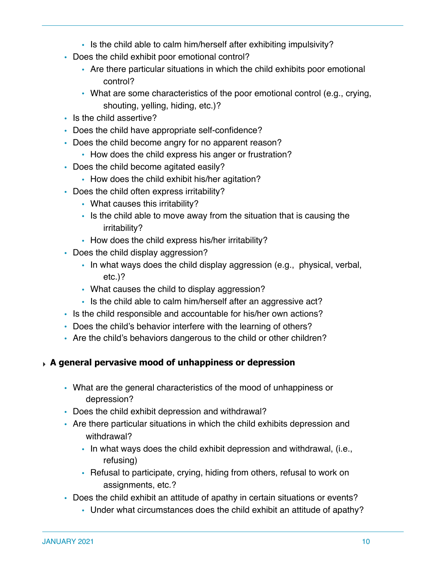- Is the child able to calm him/herself after exhibiting impulsivity?
- Does the child exhibit poor emotional control?
	- Are there particular situations in which the child exhibits poor emotional control?
	- What are some characteristics of the poor emotional control (e.g., crying, shouting, yelling, hiding, etc.)?
- Is the child assertive?
- Does the child have appropriate self-confidence?
- Does the child become angry for no apparent reason?
	- How does the child express his anger or frustration?
- Does the child become agitated easily?
	- How does the child exhibit his/her agitation?
- Does the child often express irritability?
	- What causes this irritability?
	- Is the child able to move away from the situation that is causing the irritability?
	- How does the child express his/her irritability?
- Does the child display aggression?
	- In what ways does the child display aggression (e.g., physical, verbal, etc.)?
	- What causes the child to display aggression?
	- Is the child able to calm him/herself after an aggressive act?
- Is the child responsible and accountable for his/her own actions?
- Does the child's behavior interfere with the learning of others?
- Are the child's behaviors dangerous to the child or other children?

#### ‣ **A general pervasive mood of unhappiness or depression**

- What are the general characteristics of the mood of unhappiness or depression?
- Does the child exhibit depression and withdrawal?
- Are there particular situations in which the child exhibits depression and withdrawal?
	- In what ways does the child exhibit depression and withdrawal, (i.e., refusing)
	- Refusal to participate, crying, hiding from others, refusal to work on assignments, etc.?
- Does the child exhibit an attitude of apathy in certain situations or events?
	- Under what circumstances does the child exhibit an attitude of apathy?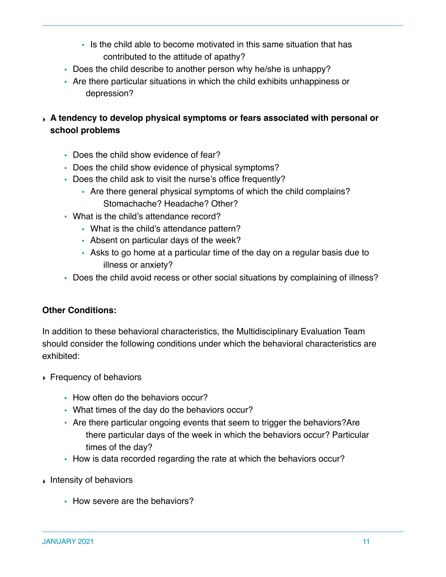- Is the child able to become motivated in this same situation that has contributed to the attitude of apathy?
- Does the child describe to another person why he/she is unhappy?
- Are there particular situations in which the child exhibits unhappiness or depression?
- ‣ **A tendency to develop physical symptoms or fears associated with personal or school problems**
	- Does the child show evidence of fear?
	- Does the child show evidence of physical symptoms?
	- Does the child ask to visit the nurse's office frequently?
		- Are there general physical symptoms of which the child complains? Stomachache? Headache? Other?
	- What is the child's attendance record?
		- What is the child's attendance pattern?
		- Absent on particular days of the week?
		- Asks to go home at a particular time of the day on a regular basis due to illness or anxiety?
	- Does the child avoid recess or other social situations by complaining of illness?

#### **Other Conditions:**

In addition to these behavioral characteristics, the Multidisciplinary Evaluation Team should consider the following conditions under which the behavioral characteristics are exhibited:

- ‣ Frequency of behaviors
	- How often do the behaviors occur?
	- What times of the day do the behaviors occur?
	- Are there particular ongoing events that seem to trigger the behaviors?Are there particular days of the week in which the behaviors occur? Particular times of the day?
	- How is data recorded regarding the rate at which the behaviors occur?
- ‣ Intensity of behaviors
	- How severe are the behaviors?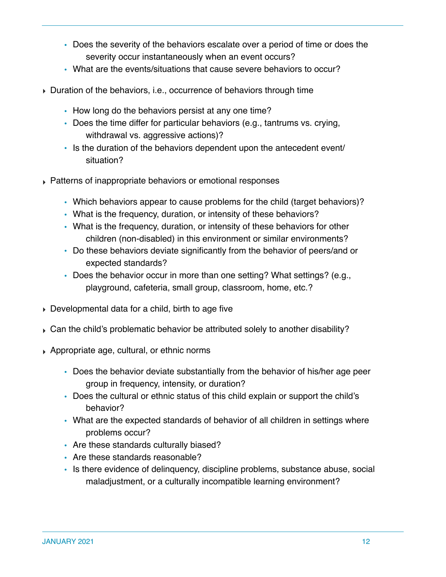- Does the severity of the behaviors escalate over a period of time or does the severity occur instantaneously when an event occurs?
- What are the events/situations that cause severe behaviors to occur?
- ‣ Duration of the behaviors, i.e., occurrence of behaviors through time
	- How long do the behaviors persist at any one time?
	- Does the time differ for particular behaviors (e.g., tantrums vs. crying, withdrawal vs. aggressive actions)?
	- Is the duration of the behaviors dependent upon the antecedent event/ situation?
- ‣ Patterns of inappropriate behaviors or emotional responses
	- Which behaviors appear to cause problems for the child (target behaviors)?
	- What is the frequency, duration, or intensity of these behaviors?
	- What is the frequency, duration, or intensity of these behaviors for other children (non-disabled) in this environment or similar environments?
	- Do these behaviors deviate significantly from the behavior of peers/and or expected standards?
	- Does the behavior occur in more than one setting? What settings? (e.g., playground, cafeteria, small group, classroom, home, etc.?
- ‣ Developmental data for a child, birth to age five
- $\triangleright$  Can the child's problematic behavior be attributed solely to another disability?
- ‣ Appropriate age, cultural, or ethnic norms
	- Does the behavior deviate substantially from the behavior of his/her age peer group in frequency, intensity, or duration?
	- Does the cultural or ethnic status of this child explain or support the child's behavior?
	- What are the expected standards of behavior of all children in settings where problems occur?
	- Are these standards culturally biased?
	- Are these standards reasonable?
	- Is there evidence of delinquency, discipline problems, substance abuse, social maladjustment, or a culturally incompatible learning environment?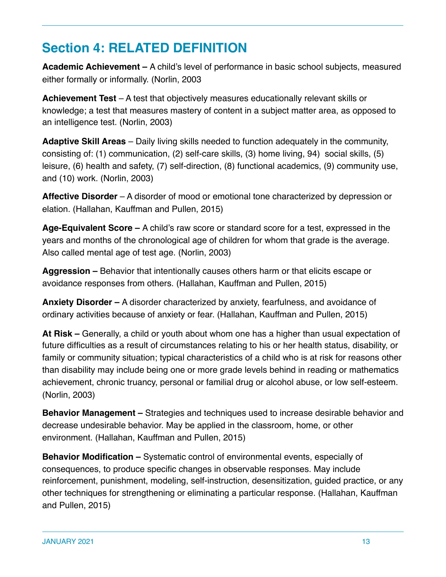# **Section 4: RELATED DEFINITION**

**Academic Achievement –** A child's level of performance in basic school subjects, measured either formally or informally. (Norlin, 2003

**Achievement Test** – A test that objectively measures educationally relevant skills or knowledge; a test that measures mastery of content in a subject matter area, as opposed to an intelligence test. (Norlin, 2003)

**Adaptive Skill Areas** – Daily living skills needed to function adequately in the community, consisting of: (1) communication, (2) self-care skills, (3) home living, 94) social skills, (5) leisure, (6) health and safety, (7) self-direction, (8) functional academics, (9) community use, and (10) work. (Norlin, 2003)

**Affective Disorder** – A disorder of mood or emotional tone characterized by depression or elation. (Hallahan, Kauffman and Pullen, 2015)

**Age-Equivalent Score –** A child's raw score or standard score for a test, expressed in the years and months of the chronological age of children for whom that grade is the average. Also called mental age of test age. (Norlin, 2003)

**Aggression –** Behavior that intentionally causes others harm or that elicits escape or avoidance responses from others. (Hallahan, Kauffman and Pullen, 2015)

**Anxiety Disorder –** A disorder characterized by anxiety, fearfulness, and avoidance of ordinary activities because of anxiety or fear. (Hallahan, Kauffman and Pullen, 2015)

**At Risk –** Generally, a child or youth about whom one has a higher than usual expectation of future difficulties as a result of circumstances relating to his or her health status, disability, or family or community situation; typical characteristics of a child who is at risk for reasons other than disability may include being one or more grade levels behind in reading or mathematics achievement, chronic truancy, personal or familial drug or alcohol abuse, or low self-esteem. (Norlin, 2003)

**Behavior Management –** Strategies and techniques used to increase desirable behavior and decrease undesirable behavior. May be applied in the classroom, home, or other environment. (Hallahan, Kauffman and Pullen, 2015)

**Behavior Modification –** Systematic control of environmental events, especially of consequences, to produce specific changes in observable responses. May include reinforcement, punishment, modeling, self-instruction, desensitization, guided practice, or any other techniques for strengthening or eliminating a particular response. (Hallahan, Kauffman and Pullen, 2015)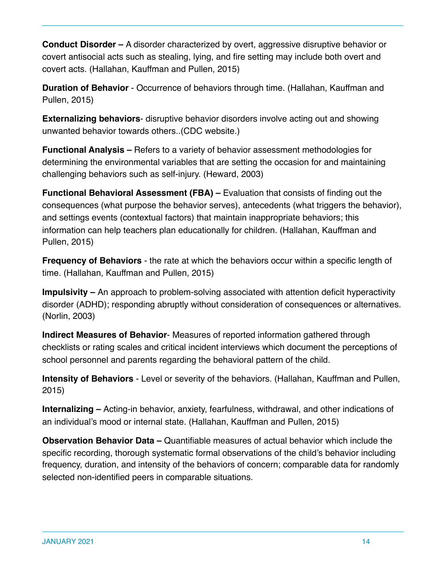**Conduct Disorder –** A disorder characterized by overt, aggressive disruptive behavior or covert antisocial acts such as stealing, lying, and fire setting may include both overt and covert acts. (Hallahan, Kauffman and Pullen, 2015)

**Duration of Behavior** - Occurrence of behaviors through time. (Hallahan, Kauffman and Pullen, 2015)

**Externalizing behaviors**- disruptive behavior disorders involve acting out and showing unwanted behavior towards others..(CDC website.)

**Functional Analysis –** Refers to a variety of behavior assessment methodologies for determining the environmental variables that are setting the occasion for and maintaining challenging behaviors such as self-injury. (Heward, 2003)

**Functional Behavioral Assessment (FBA) –** Evaluation that consists of finding out the consequences (what purpose the behavior serves), antecedents (what triggers the behavior), and settings events (contextual factors) that maintain inappropriate behaviors; this information can help teachers plan educationally for children. (Hallahan, Kauffman and Pullen, 2015)

**Frequency of Behaviors** - the rate at which the behaviors occur within a specific length of time. (Hallahan, Kauffman and Pullen, 2015)

**Impulsivity –** An approach to problem-solving associated with attention deficit hyperactivity disorder (ADHD); responding abruptly without consideration of consequences or alternatives. (Norlin, 2003)

**Indirect Measures of Behavior**- Measures of reported information gathered through checklists or rating scales and critical incident interviews which document the perceptions of school personnel and parents regarding the behavioral pattern of the child.

**Intensity of Behaviors** - Level or severity of the behaviors. (Hallahan, Kauffman and Pullen, 2015)

**Internalizing –** Acting-in behavior, anxiety, fearfulness, withdrawal, and other indications of an individual's mood or internal state. (Hallahan, Kauffman and Pullen, 2015)

**Observation Behavior Data –** Quantifiable measures of actual behavior which include the specific recording, thorough systematic formal observations of the child's behavior including frequency, duration, and intensity of the behaviors of concern; comparable data for randomly selected non-identified peers in comparable situations.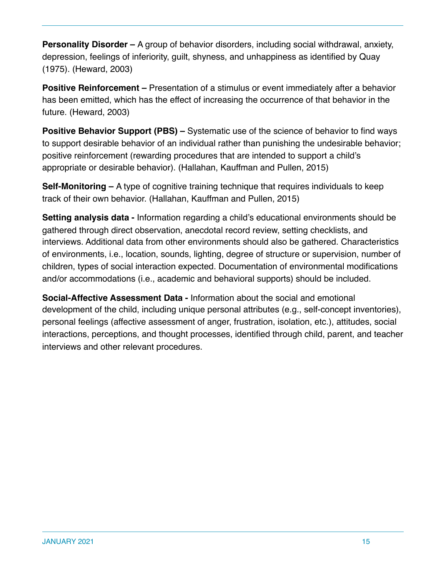**Personality Disorder –** A group of behavior disorders, including social withdrawal, anxiety, depression, feelings of inferiority, guilt, shyness, and unhappiness as identified by Quay (1975). (Heward, 2003)

**Positive Reinforcement –** Presentation of a stimulus or event immediately after a behavior has been emitted, which has the effect of increasing the occurrence of that behavior in the future. (Heward, 2003)

**Positive Behavior Support (PBS) –** Systematic use of the science of behavior to find ways to support desirable behavior of an individual rather than punishing the undesirable behavior; positive reinforcement (rewarding procedures that are intended to support a child's appropriate or desirable behavior). (Hallahan, Kauffman and Pullen, 2015)

**Self-Monitoring –** A type of cognitive training technique that requires individuals to keep track of their own behavior. (Hallahan, Kauffman and Pullen, 2015)

**Setting analysis data -** Information regarding a child's educational environments should be gathered through direct observation, anecdotal record review, setting checklists, and interviews. Additional data from other environments should also be gathered. Characteristics of environments, i.e., location, sounds, lighting, degree of structure or supervision, number of children, types of social interaction expected. Documentation of environmental modifications and/or accommodations (i.e., academic and behavioral supports) should be included.

**Social-Affective Assessment Data -** Information about the social and emotional development of the child, including unique personal attributes (e.g., self-concept inventories), personal feelings (affective assessment of anger, frustration, isolation, etc.), attitudes, social interactions, perceptions, and thought processes, identified through child, parent, and teacher interviews and other relevant procedures.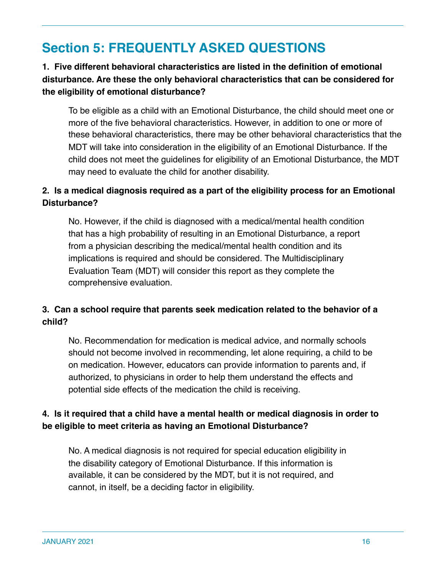# **Section 5: FREQUENTLY ASKED QUESTIONS**

#### **1. Five different behavioral characteristics are listed in the definition of emotional disturbance. Are these the only behavioral characteristics that can be considered for the eligibility of emotional disturbance?**

To be eligible as a child with an Emotional Disturbance, the child should meet one or more of the five behavioral characteristics. However, in addition to one or more of these behavioral characteristics, there may be other behavioral characteristics that the MDT will take into consideration in the eligibility of an Emotional Disturbance. If the child does not meet the guidelines for eligibility of an Emotional Disturbance, the MDT may need to evaluate the child for another disability.

#### **2. Is a medical diagnosis required as a part of the eligibility process for an Emotional Disturbance?**

No. However, if the child is diagnosed with a medical/mental health condition that has a high probability of resulting in an Emotional Disturbance, a report from a physician describing the medical/mental health condition and its implications is required and should be considered. The Multidisciplinary Evaluation Team (MDT) will consider this report as they complete the comprehensive evaluation.

#### **3. Can a school require that parents seek medication related to the behavior of a child?**

No. Recommendation for medication is medical advice, and normally schools should not become involved in recommending, let alone requiring, a child to be on medication. However, educators can provide information to parents and, if authorized, to physicians in order to help them understand the effects and potential side effects of the medication the child is receiving.

#### **4. Is it required that a child have a mental health or medical diagnosis in order to be eligible to meet criteria as having an Emotional Disturbance?**

No. A medical diagnosis is not required for special education eligibility in the disability category of Emotional Disturbance. If this information is available, it can be considered by the MDT, but it is not required, and cannot, in itself, be a deciding factor in eligibility.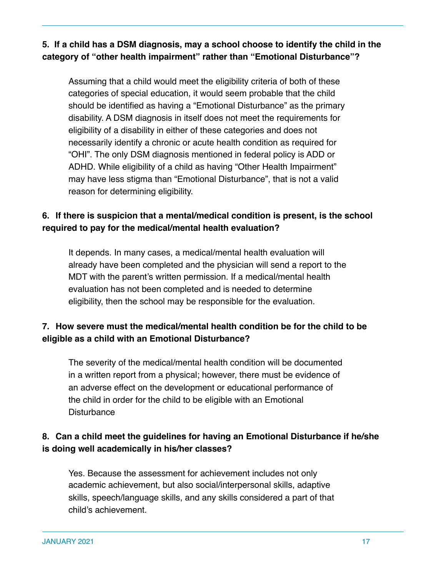**5. If a child has a DSM diagnosis, may a school choose to identify the child in the category of "other health impairment" rather than "Emotional Disturbance"?**

Assuming that a child would meet the eligibility criteria of both of these categories of special education, it would seem probable that the child should be identified as having a "Emotional Disturbance" as the primary disability. A DSM diagnosis in itself does not meet the requirements for eligibility of a disability in either of these categories and does not necessarily identify a chronic or acute health condition as required for "OHI". The only DSM diagnosis mentioned in federal policy is ADD or ADHD. While eligibility of a child as having "Other Health Impairment" may have less stigma than "Emotional Disturbance", that is not a valid reason for determining eligibility.

#### **6. If there is suspicion that a mental/medical condition is present, is the school required to pay for the medical/mental health evaluation?**

It depends. In many cases, a medical/mental health evaluation will already have been completed and the physician will send a report to the MDT with the parent's written permission. If a medical/mental health evaluation has not been completed and is needed to determine eligibility, then the school may be responsible for the evaluation.

#### **7. How severe must the medical/mental health condition be for the child to be eligible as a child with an Emotional Disturbance?**

The severity of the medical/mental health condition will be documented in a written report from a physical; however, there must be evidence of an adverse effect on the development or educational performance of the child in order for the child to be eligible with an Emotional **Disturbance** 

#### **8. Can a child meet the guidelines for having an Emotional Disturbance if he/she is doing well academically in his/her classes?**

Yes. Because the assessment for achievement includes not only academic achievement, but also social/interpersonal skills, adaptive skills, speech/language skills, and any skills considered a part of that child's achievement.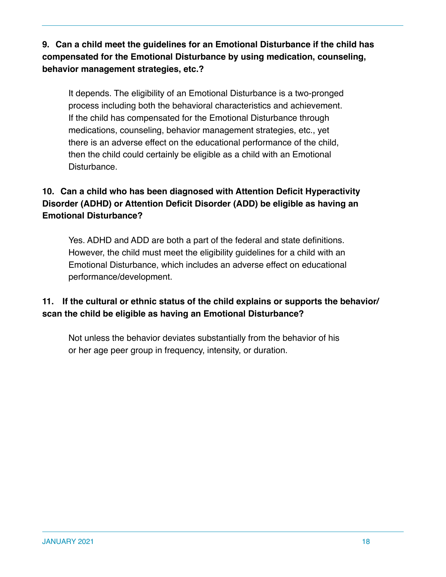**9. Can a child meet the guidelines for an Emotional Disturbance if the child has compensated for the Emotional Disturbance by using medication, counseling, behavior management strategies, etc.?**

It depends. The eligibility of an Emotional Disturbance is a two-pronged process including both the behavioral characteristics and achievement. If the child has compensated for the Emotional Disturbance through medications, counseling, behavior management strategies, etc., yet there is an adverse effect on the educational performance of the child, then the child could certainly be eligible as a child with an Emotional Disturbance.

#### **10. Can a child who has been diagnosed with Attention Deficit Hyperactivity Disorder (ADHD) or Attention Deficit Disorder (ADD) be eligible as having an Emotional Disturbance?**

Yes. ADHD and ADD are both a part of the federal and state definitions. However, the child must meet the eligibility guidelines for a child with an Emotional Disturbance, which includes an adverse effect on educational performance/development.

#### **11. If the cultural or ethnic status of the child explains or supports the behavior/ scan the child be eligible as having an Emotional Disturbance?**

Not unless the behavior deviates substantially from the behavior of his or her age peer group in frequency, intensity, or duration.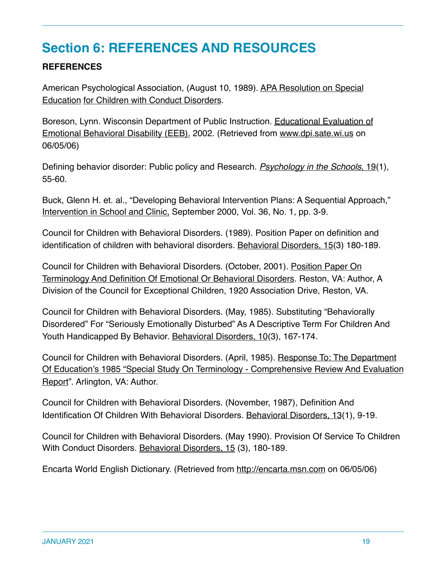# **Section 6: REFERENCES AND RESOURCES**

#### **REFERENCES**

American Psychological Association, (August 10, 1989). APA Resolution on Special Education for Children with Conduct Disorders.

Boreson, Lynn. Wisconsin Department of Public Instruction. Educational Evaluation of Emotional Behavioral Disability (EEB). 2002. (Retrieved from www.dpi.sate.wi.us on 06/05/06)

Defining behavior disorder: Public policy and Research. *Psychology in the Schools*, 19(1), 55-60.

Buck, Glenn H. et. al., "Developing Behavioral Intervention Plans: A Sequential Approach," Intervention in School and Clinic, September 2000, Vol. 36, No. 1, pp. 3-9.

Council for Children with Behavioral Disorders. (1989). Position Paper on definition and identification of children with behavioral disorders. Behavioral Disorders, 15(3) 180-189.

Council for Children with Behavioral Disorders. (October, 2001). Position Paper On Terminology And Definition Of Emotional Or Behavioral Disorders. Reston, VA: Author, A Division of the Council for Exceptional Children, 1920 Association Drive, Reston, VA.

Council for Children with Behavioral Disorders. (May, 1985). Substituting "Behaviorally Disordered" For "Seriously Emotionally Disturbed" As A Descriptive Term For Children And Youth Handicapped By Behavior. Behavioral Disorders, 10(3), 167-174.

Council for Children with Behavioral Disorders. (April, 1985). Response To: The Department Of Education's 1985 "Special Study On Terminology - Comprehensive Review And Evaluation Report". Arlington, VA: Author.

Council for Children with Behavioral Disorders. (November, 1987), Definition And Identification Of Children With Behavioral Disorders. Behavioral Disorders, 13(1), 9-19.

Council for Children with Behavioral Disorders. (May 1990). Provision Of Service To Children With Conduct Disorders. Behavioral Disorders, 15 (3), 180-189.

Encarta World English Dictionary. (Retrieved from http://encarta.msn.com on 06/05/06)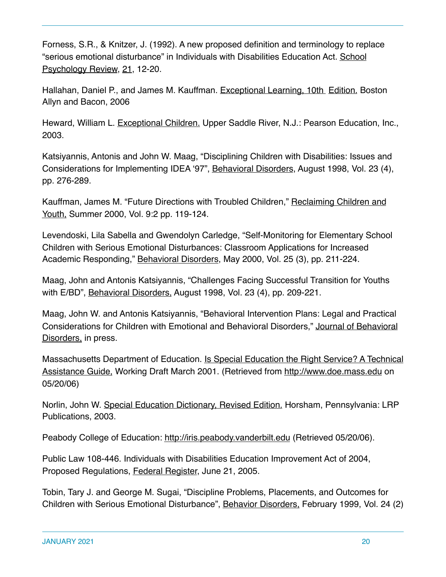Forness, S.R., & Knitzer, J. (1992). A new proposed definition and terminology to replace "serious emotional disturbance" in Individuals with Disabilities Education Act. School Psychology Review, 21, 12-20.

Hallahan, Daniel P., and James M. Kauffman. Exceptional Learning, 10th Edition. Boston Allyn and Bacon, 2006

Heward, William L. Exceptional Children. Upper Saddle River, N.J.: Pearson Education, Inc., 2003.

Katsiyannis, Antonis and John W. Maag, "Disciplining Children with Disabilities: Issues and Considerations for Implementing IDEA '97", Behavioral Disorders, August 1998, Vol. 23 (4), pp. 276-289.

Kauffman, James M. "Future Directions with Troubled Children," Reclaiming Children and Youth, Summer 2000, Vol. 9:2 pp. 119-124.

Levendoski, Lila Sabella and Gwendolyn Carledge, "Self-Monitoring for Elementary School Children with Serious Emotional Disturbances: Classroom Applications for Increased Academic Responding," Behavioral Disorders, May 2000, Vol. 25 (3), pp. 211-224.

Maag, John and Antonis Katsiyannis, "Challenges Facing Successful Transition for Youths with E/BD", Behavioral Disorders, August 1998, Vol. 23 (4), pp. 209-221.

Maag, John W. and Antonis Katsiyannis, "Behavioral Intervention Plans: Legal and Practical Considerations for Children with Emotional and Behavioral Disorders," Journal of Behavioral Disorders, in press.

Massachusetts Department of Education. Is Special Education the Right Service? A Technical Assistance Guide, Working Draft March 2001. (Retrieved from http://www.doe.mass.edu on 05/20/06)

Norlin, John W. Special Education Dictionary, Revised Edition. Horsham, Pennsylvania: LRP Publications, 2003.

Peabody College of Education: http://iris.peabody.vanderbilt.edu (Retrieved 05/20/06).

Public Law 108-446. Individuals with Disabilities Education Improvement Act of 2004, Proposed Regulations, Federal Register, June 21, 2005.

Tobin, Tary J. and George M. Sugai, "Discipline Problems, Placements, and Outcomes for Children with Serious Emotional Disturbance", Behavior Disorders, February 1999, Vol. 24 (2)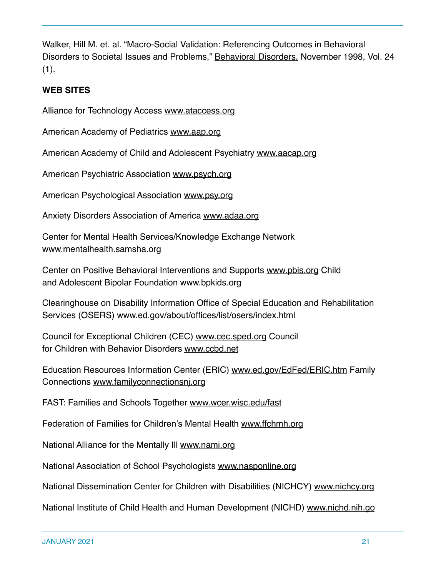Walker, Hill M. et. al. "Macro-Social Validation: Referencing Outcomes in Behavioral Disorders to Societal Issues and Problems," Behavioral Disorders, November 1998, Vol. 24  $(1).$ 

#### **WEB SITES**

Alliance for Technology Access www.ataccess.org

American Academy of Pediatrics www.aap.org

American Academy of Child and Adolescent Psychiatry www.aacap.org

American Psychiatric Association www.psych.org

American Psychological Association www.psy.org

Anxiety Disorders Association of America www.adaa.org

Center for Mental Health Services/Knowledge Exchange Network www.mentalhealth.samsha.org

Center on Positive Behavioral Interventions and Supports www.pbis.org Child and Adolescent Bipolar Foundation www.bpkids.org

Clearinghouse on Disability Information Office of Special Education and Rehabilitation Services (OSERS) www.ed.gov/about/offices/list/osers/index.html

Council for Exceptional Children (CEC) www.cec.sped.org Council for Children with Behavior Disorders www.ccbd.net

Education Resources Information Center (ERIC) www.ed.gov/EdFed/ERIC.htm Family Connections www.familyconnectionsnj.org

FAST: Families and Schools Together www.wcer.wisc.edu/fast

Federation of Families for Children's Mental Health www.ffchmh.org

National Alliance for the Mentally Ill www.nami.org

National Association of School Psychologists www.nasponline.org

National Dissemination Center for Children with Disabilities (NICHCY) www.nichcy.org

National Institute of Child Health and Human Development (NICHD) www.nichd.nih.go